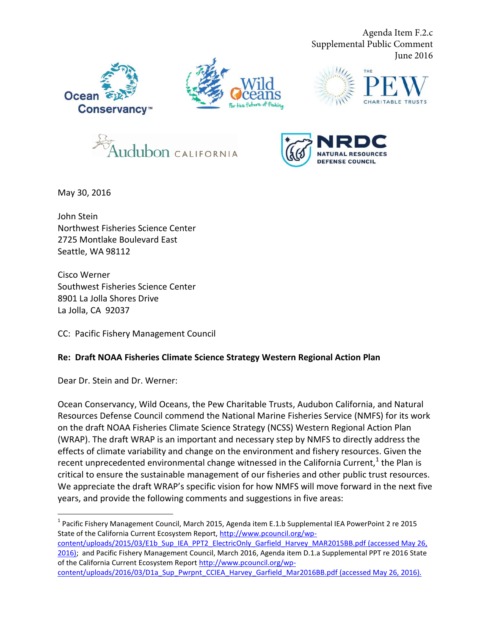Agenda Item F.2.c Supplemental Public Comment June 2016











May 30, 2016

John Stein Northwest Fisheries Science Center 2725 Montlake Boulevard East Seattle, WA 98112

Cisco Werner Southwest Fisheries Science Center 8901 La Jolla Shores Drive La Jolla, CA 92037

CC: Pacific Fishery Management Council

### **Re: Draft NOAA Fisheries Climate Science Strategy Western Regional Action Plan**

Dear Dr. Stein and Dr. Werner:

Ocean Conservancy, Wild Oceans, the Pew Charitable Trusts, Audubon California, and Natural Resources Defense Council commend the National Marine Fisheries Service (NMFS) for its work on the draft NOAA Fisheries Climate Science Strategy (NCSS) Western Regional Action Plan (WRAP). The draft WRAP is an important and necessary step by NMFS to directly address the effects of climate variability and change on the environment and fishery resources. Given the recent unprecedented environmental change witnessed in the California Current,<sup>1</sup> the Plan is critical to ensure the sustainable management of our fisheries and other public trust resources. We appreciate the draft WRAP's specific vision for how NMFS will move forward in the next five years, and provide the following comments and suggestions in five areas:

<sup>1</sup> Pacific Fishery Management Council, March 2015, Agenda item E.1.b Supplemental IEA PowerPoint 2 re 2015 State of the California Current Ecosystem Report, [http://www.pcouncil.org/wp-](http://www.pcouncil.org/wp-content/uploads/2015/03/E1b_Sup_IEA_PPT2_ElectricOnly_Garfield_Harvey_MAR2015BB.pdf)

[content/uploads/2015/03/E1b\\_Sup\\_IEA\\_PPT2\\_ElectricOnly\\_Garfield\\_Harvey\\_MAR2015BB.pdf \(](http://www.pcouncil.org/wp-content/uploads/2015/03/E1b_Sup_IEA_PPT2_ElectricOnly_Garfield_Harvey_MAR2015BB.pdf)accessed May 26, 2016); and Pacific Fishery Management Council, March 2016, Agenda item D.1.a Supplemental PPT re 2016 State of the California Current Ecosystem Report [http://www.pcouncil.org/wp](http://www.pcouncil.org/wp-content/uploads/2016/03/D1a_Sup_Pwrpnt_CCIEA_Harvey_Garfield_Mar2016BB.pdf)[content/uploads/2016/03/D1a\\_Sup\\_Pwrpnt\\_CCIEA\\_Harvey\\_Garfield\\_Mar2016BB.pdf](http://www.pcouncil.org/wp-content/uploads/2016/03/D1a_Sup_Pwrpnt_CCIEA_Harvey_Garfield_Mar2016BB.pdf) (accessed May 26, 2016).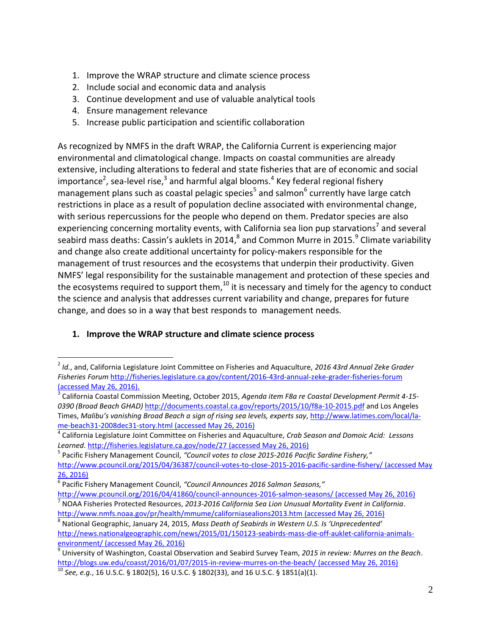- 1. Improve the WRAP structure and climate science process
- 2. Include social and economic data and analysis
- 3. Continue development and use of valuable analytical tools
- 4. Ensure management relevance

 $\overline{a}$ 

5. Increase public participation and scientific collaboration

As recognized by NMFS in the draft WRAP, the California Current is experiencing major environmental and climatological change. Impacts on coastal communities are already extensive, including alterations to federal and state fisheries that are of economic and social importance<sup>2</sup>, sea-level rise,<sup>3</sup> and harmful algal blooms.<sup>4</sup> Key federal regional fishery management plans such as coastal pelagic species<sup>5</sup> and salmon<sup>6</sup> currently have large catch restrictions in place as a result of population decline associated with environmental change, with serious repercussions for the people who depend on them. Predator species are also experiencing concerning mortality events, with California sea lion pup starvations<sup>7</sup> and several seabird mass deaths: Cassin's auklets in 2014, $^8$  and Common Murre in 2015. $^9$  Climate variability and change also create additional uncertainty for policy-makers responsible for the management of trust resources and the ecosystems that underpin their productivity. Given NMFS' legal responsibility for the sustainable management and protection of these species and the ecosystems required to support them, $^{10}$  it is necessary and timely for the agency to conduct the science and analysis that addresses current variability and change, prepares for future change, and does so in a way that best responds to management needs.

### **1. Improve the WRAP structure and climate science process**

<sup>2</sup> *Id.*, and, California Legislature Joint Committee on Fisheries and Aquaculture, *2016 43rd Annual Zeke Grader Fisheries Forum* <http://fisheries.legislature.ca.gov/content/2016-43rd-annual-zeke-grader-fisheries-forum> (accessed May 26, 2016).

<sup>3</sup> California Coastal Commission Meeting, October 2015, *Agenda item F8a re Coastal Development Permit 4-15- 0390 (Broad Beach GHAD)* <http://documents.coastal.ca.gov/reports/2015/10/f8a-10-2015.pdf> and Los Angeles Times, *Malibu's vanishing Broad Beach a sign of rising sea levels, experts say*, [http://www.latimes.com/local/la](http://www.latimes.com/local/la-me-beach31-2008dec31-story.html)[me-beach31-2008dec31-story.html](http://www.latimes.com/local/la-me-beach31-2008dec31-story.html) (accessed May 26, 2016)

<sup>4</sup> California Legislature Joint Committee on Fisheries and Aquaculture, *Crab Season and Domoic Acid: Lessons Learned*[. http://fisheries.legislature.ca.gov/node/27](http://fisheries.legislature.ca.gov/node/27) (accessed May 26, 2016)

<sup>5</sup> Pacific Fishery Management Council, *"Council votes to close 2015-2016 Pacific Sardine Fishery,"* <http://www.pcouncil.org/2015/04/36387/council-votes-to-close-2015-2016-pacific-sardine-fishery/> (accessed May 26, 2016)

<sup>6</sup> Pacific Fishery Management Council, *"Council Announces 2016 Salmon Seasons,"*

<http://www.pcouncil.org/2016/04/41860/council-announces-2016-salmon-seasons/> (accessed May 26, 2016) 7 NOAA Fisheries Protected Resources, *2013-2016 California Sea Lion Unusual Mortality Event in California*.

<http://www.nmfs.noaa.gov/pr/health/mmume/californiasealions2013.htm> (accessed May 26, 2016) 8 National Geographic, January 24, 2015, *Mass Death of Seabirds in Western U.S. Is 'Unprecedented'* [http://news.nationalgeographic.com/news/2015/01/150123-seabirds-mass-die-off-auklet-california-animals](http://news.nationalgeographic.com/news/2015/01/150123-seabirds-mass-die-off-auklet-california-animals-environment/)[environment/](http://news.nationalgeographic.com/news/2015/01/150123-seabirds-mass-die-off-auklet-california-animals-environment/) (accessed May 26, 2016)

<sup>9</sup> University of Washington, Coastal Observation and Seabird Survey Team, *2015 in review: Murres on the Beach*. <http://blogs.uw.edu/coasst/2016/01/07/2015-in-review-murres-on-the-beach/> (accessed May 26, 2016) <sup>10</sup> *See, e.g.*, 16 U.S.C. § 1802(5), 16 U.S.C. § 1802(33), and 16 U.S.C. § 1851(a)(1).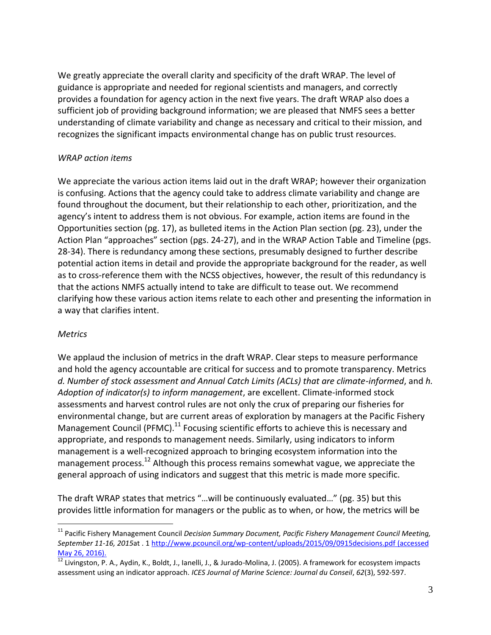We greatly appreciate the overall clarity and specificity of the draft WRAP. The level of guidance is appropriate and needed for regional scientists and managers, and correctly provides a foundation for agency action in the next five years. The draft WRAP also does a sufficient job of providing background information; we are pleased that NMFS sees a better understanding of climate variability and change as necessary and critical to their mission, and recognizes the significant impacts environmental change has on public trust resources.

### *WRAP action items*

We appreciate the various action items laid out in the draft WRAP; however their organization is confusing. Actions that the agency could take to address climate variability and change are found throughout the document, but their relationship to each other, prioritization, and the agency's intent to address them is not obvious. For example, action items are found in the Opportunities section (pg. 17), as bulleted items in the Action Plan section (pg. 23), under the Action Plan "approaches" section (pgs. 24-27), and in the WRAP Action Table and Timeline (pgs. 28-34). There is redundancy among these sections, presumably designed to further describe potential action items in detail and provide the appropriate background for the reader, as well as to cross-reference them with the NCSS objectives, however, the result of this redundancy is that the actions NMFS actually intend to take are difficult to tease out. We recommend clarifying how these various action items relate to each other and presenting the information in a way that clarifies intent.

#### *Metrics*

 $\overline{a}$ 

We applaud the inclusion of metrics in the draft WRAP. Clear steps to measure performance and hold the agency accountable are critical for success and to promote transparency. Metrics *d. Number of stock assessment and Annual Catch Limits (ACLs) that are climate-informed*, and *h. Adoption of indicator(s) to inform management*, are excellent. Climate-informed stock assessments and harvest control rules are not only the crux of preparing our fisheries for environmental change, but are current areas of exploration by managers at the Pacific Fishery Management Council (PFMC).<sup>11</sup> Focusing scientific efforts to achieve this is necessary and appropriate, and responds to management needs. Similarly, using indicators to inform management is a well-recognized approach to bringing ecosystem information into the management process.<sup>12</sup> Although this process remains somewhat vague, we appreciate the general approach of using indicators and suggest that this metric is made more specific.

The draft WRAP states that metrics "…will be continuously evaluated…" (pg. 35) but this provides little information for managers or the public as to when, or how, the metrics will be

<sup>&</sup>lt;sup>11</sup> Pacific Fishery Management Council *Decision Summary Document, Pacific Fishery Management Council Meeting, September 11-16, 2015*at . 1<http://www.pcouncil.org/wp-content/uploads/2015/09/0915decisions.pdf> (accessed May 26, 2016).

 $\frac{12}{12}$  Livingston, P. A., Aydin, K., Boldt, J., Ianelli, J., & Jurado-Molina, J. (2005). A framework for ecosystem impacts assessment using an indicator approach. *ICES Journal of Marine Science: Journal du Conseil*, *62*(3), 592-597.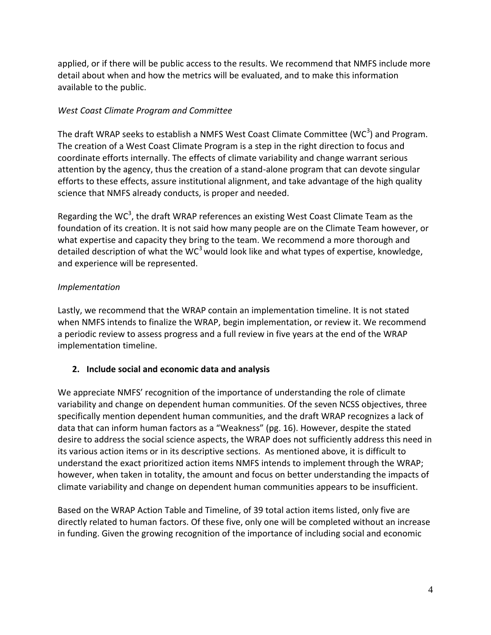applied, or if there will be public access to the results. We recommend that NMFS include more detail about when and how the metrics will be evaluated, and to make this information available to the public.

## *West Coast Climate Program and Committee*

The draft WRAP seeks to establish a NMFS West Coast Climate Committee (WC<sup>3</sup>) and Program. The creation of a West Coast Climate Program is a step in the right direction to focus and coordinate efforts internally. The effects of climate variability and change warrant serious attention by the agency, thus the creation of a stand-alone program that can devote singular efforts to these effects, assure institutional alignment, and take advantage of the high quality science that NMFS already conducts, is proper and needed.

Regarding the WC<sup>3</sup>, the draft WRAP references an existing West Coast Climate Team as the foundation of its creation. It is not said how many people are on the Climate Team however, or what expertise and capacity they bring to the team. We recommend a more thorough and detailed description of what the WC<sup>3</sup> would look like and what types of expertise, knowledge, and experience will be represented.

## *Implementation*

Lastly, we recommend that the WRAP contain an implementation timeline. It is not stated when NMFS intends to finalize the WRAP, begin implementation, or review it. We recommend a periodic review to assess progress and a full review in five years at the end of the WRAP implementation timeline.

### **2. Include social and economic data and analysis**

We appreciate NMFS' recognition of the importance of understanding the role of climate variability and change on dependent human communities. Of the seven NCSS objectives, three specifically mention dependent human communities, and the draft WRAP recognizes a lack of data that can inform human factors as a "Weakness" (pg. 16). However, despite the stated desire to address the social science aspects, the WRAP does not sufficiently address this need in its various action items or in its descriptive sections. As mentioned above, it is difficult to understand the exact prioritized action items NMFS intends to implement through the WRAP; however, when taken in totality, the amount and focus on better understanding the impacts of climate variability and change on dependent human communities appears to be insufficient.

Based on the WRAP Action Table and Timeline, of 39 total action items listed, only five are directly related to human factors. Of these five, only one will be completed without an increase in funding. Given the growing recognition of the importance of including social and economic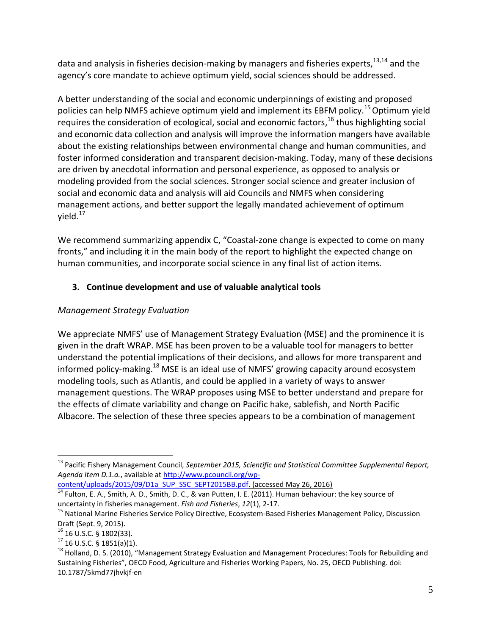data and analysis in fisheries decision-making by managers and fisheries experts,  $13,14$  and the agency's core mandate to achieve optimum yield, social sciences should be addressed.

A better understanding of the social and economic underpinnings of existing and proposed policies can help NMFS achieve optimum yield and implement its EBFM policy.<sup>15</sup> Optimum yield requires the consideration of ecological, social and economic factors,<sup>16</sup> thus highlighting social and economic data collection and analysis will improve the information mangers have available about the existing relationships between environmental change and human communities, and foster informed consideration and transparent decision-making. Today, many of these decisions are driven by anecdotal information and personal experience, as opposed to analysis or modeling provided from the social sciences. Stronger social science and greater inclusion of social and economic data and analysis will aid Councils and NMFS when considering management actions, and better support the legally mandated achievement of optimum vield. $17$ 

We recommend summarizing appendix C, "Coastal-zone change is expected to come on many fronts," and including it in the main body of the report to highlight the expected change on human communities, and incorporate social science in any final list of action items.

# **3. Continue development and use of valuable analytical tools**

## *Management Strategy Evaluation*

We appreciate NMFS' use of Management Strategy Evaluation (MSE) and the prominence it is given in the draft WRAP. MSE has been proven to be a valuable tool for managers to better understand the potential implications of their decisions, and allows for more transparent and informed policy-making.<sup>18</sup> MSE is an ideal use of NMFS' growing capacity around ecosystem modeling tools, such as Atlantis, and could be applied in a variety of ways to answer management questions. The WRAP proposes using MSE to better understand and prepare for the effects of climate variability and change on Pacific hake, sablefish, and North Pacific Albacore. The selection of these three species appears to be a combination of management

[content/uploads/2015/09/D1a\\_SUP\\_SSC\\_SEPT2015BB.pdf.](http://www.pcouncil.org/wp-content/uploads/2015/09/D1a_SUP_SSC_SEPT2015BB.pdf) (accessed May 26, 2016) <sup>14</sup> Fulton, E. A., Smith, A. D., Smith, D. C., & van Putten, I. E. (2011). Human behaviour: the key source of

uncertainty in fisheries management. *Fish and Fisheries*, *12*(1), 2-17.

 $\overline{a}$ 

<sup>13</sup> Pacific Fishery Management Council, *September 2015, Scientific and Statistical Committee Supplemental Report, Agenda Item D.1.a.*, available at [http://www.pcouncil.org/wp-](http://www.pcouncil.org/wp-content/uploads/2015/09/D1a_SUP_SSC_SEPT2015BB.pdf)

<sup>&</sup>lt;sup>15</sup> National Marine Fisheries Service Policy Directive, Ecosystem-Based Fisheries Management Policy, Discussion Draft (Sept. 9, 2015).

 $16$  U.S.C. § 1802(33).

 $17$  16 U.S.C. § 1851(a)(1).

<sup>&</sup>lt;sup>18</sup> Holland, D. S. (2010), "Management Strategy Evaluation and Management Procedures: Tools for Rebuilding and Sustaining Fisheries", OECD Food, Agriculture and Fisheries Working Papers, No. 25, OECD Publishing. doi: 10.1787/5kmd77jhvkjf-en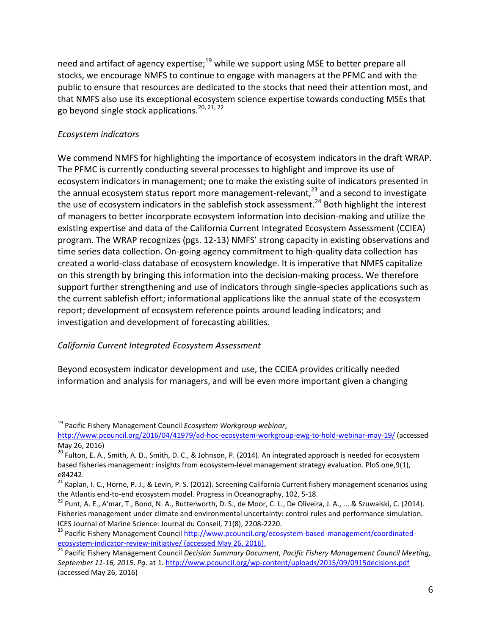need and artifact of agency expertise;<sup>19</sup> while we support using MSE to better prepare all stocks, we encourage NMFS to continue to engage with managers at the PFMC and with the public to ensure that resources are dedicated to the stocks that need their attention most, and that NMFS also use its exceptional ecosystem science expertise towards conducting MSEs that go beyond single stock applications.<sup>20, 21, 22</sup>

## *Ecosystem indicators*

 $\overline{a}$ 

We commend NMFS for highlighting the importance of ecosystem indicators in the draft WRAP. The PFMC is currently conducting several processes to highlight and improve its use of ecosystem indicators in management; one to make the existing suite of indicators presented in the annual ecosystem status report more management-relevant, $^{23}$  and a second to investigate the use of ecosystem indicators in the sablefish stock assessment.<sup>24</sup> Both highlight the interest of managers to better incorporate ecosystem information into decision-making and utilize the existing expertise and data of the California Current Integrated Ecosystem Assessment (CCIEA) program. The WRAP recognizes (pgs. 12-13) NMFS' strong capacity in existing observations and time series data collection. On-going agency commitment to high-quality data collection has created a world-class database of ecosystem knowledge. It is imperative that NMFS capitalize on this strength by bringing this information into the decision-making process. We therefore support further strengthening and use of indicators through single-species applications such as the current sablefish effort; informational applications like the annual state of the ecosystem report; development of ecosystem reference points around leading indicators; and investigation and development of forecasting abilities.

## *California Current Integrated Ecosystem Assessment*

Beyond ecosystem indicator development and use, the CCIEA provides critically needed information and analysis for managers, and will be even more important given a changing

<sup>19</sup> Pacific Fishery Management Council *Ecosystem Workgroup webinar*,

<http://www.pcouncil.org/2016/04/41979/ad-hoc-ecosystem-workgroup-ewg-to-hold-webinar-may-19/> (accessed May 26, 2016)

<sup>&</sup>lt;sup>20</sup> Fulton, E. A., Smith, A. D., Smith, D. C., & Johnson, P. (2014). An integrated approach is needed for ecosystem based fisheries management: insights from ecosystem-level management strategy evaluation. PloS one,9(1), e84242.

<sup>&</sup>lt;sup>21</sup> Kaplan, I. C., Horne, P. J., & Levin, P. S. (2012). Screening California Current fishery management scenarios using the Atlantis end-to-end ecosystem model. Progress in Oceanography, 102, 5-18.

<sup>&</sup>lt;sup>22</sup> Punt, A. E., A'mar, T., Bond, N. A., Butterworth, D. S., de Moor, C. L., De Oliveira, J. A., ... & Szuwalski, C. (2014). Fisheries management under climate and environmental uncertainty: control rules and performance simulation. ICES Journal of Marine Science: Journal du Conseil, 71(8), 2208-2220.

<sup>&</sup>lt;sup>23</sup> Pacific Fishery Management Counci[l http://www.pcouncil.org/ecosystem-based-management/coordinated](http://www.pcouncil.org/ecosystem-based-management/coordinated-ecosystem-indicator-review-initiative/)[ecosystem-indicator-review-initiative/](http://www.pcouncil.org/ecosystem-based-management/coordinated-ecosystem-indicator-review-initiative/) (accessed May 26, 2016).

<sup>24</sup> Pacific Fishery Management Council *Decision Summary Document, Pacific Fishery Management Council Meeting, September 11-16, 2015*. *Pg*. at 1[. http://www.pcouncil.org/wp-content/uploads/2015/09/0915decisions.pdf](http://www.pcouncil.org/wp-content/uploads/2015/09/0915decisions.pdf) (accessed May 26, 2016)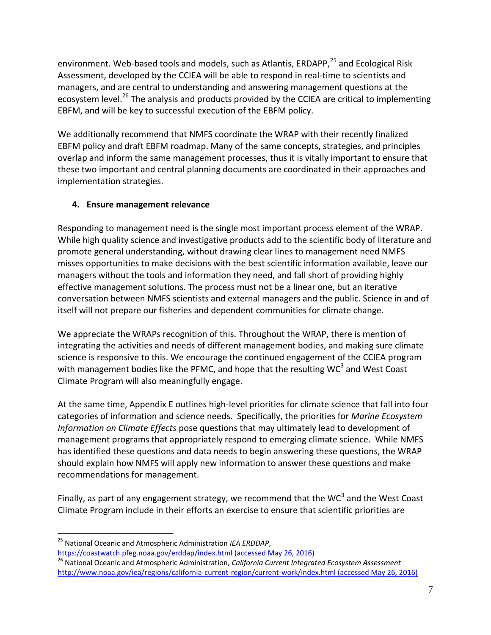environment. Web-based tools and models, such as Atlantis, ERDAPP,<sup>25</sup> and Ecological Risk Assessment, developed by the CCIEA will be able to respond in real-time to scientists and managers, and are central to understanding and answering management questions at the ecosystem level.<sup>26</sup> The analysis and products provided by the CCIEA are critical to implementing EBFM, and will be key to successful execution of the EBFM policy.

We additionally recommend that NMFS coordinate the WRAP with their recently finalized EBFM policy and draft EBFM roadmap. Many of the same concepts, strategies, and principles overlap and inform the same management processes, thus it is vitally important to ensure that these two important and central planning documents are coordinated in their approaches and implementation strategies.

## **4. Ensure management relevance**

Responding to management need is the single most important process element of the WRAP. While high quality science and investigative products add to the scientific body of literature and promote general understanding, without drawing clear lines to management need NMFS misses opportunities to make decisions with the best scientific information available, leave our managers without the tools and information they need, and fall short of providing highly effective management solutions. The process must not be a linear one, but an iterative conversation between NMFS scientists and external managers and the public. Science in and of itself will not prepare our fisheries and dependent communities for climate change.

We appreciate the WRAPs recognition of this. Throughout the WRAP, there is mention of integrating the activities and needs of different management bodies, and making sure climate science is responsive to this. We encourage the continued engagement of the CCIEA program with management bodies like the PFMC, and hope that the resulting WC<sup>3</sup> and West Coast Climate Program will also meaningfully engage.

At the same time, Appendix E outlines high-level priorities for climate science that fall into four categories of information and science needs. Specifically, the priorities for *Marine Ecosystem Information on Climate Effects* pose questions that may ultimately lead to development of management programs that appropriately respond to emerging climate science. While NMFS has identified these questions and data needs to begin answering these questions, the WRAP should explain how NMFS will apply new information to answer these questions and make recommendations for management.

Finally, as part of any engagement strategy, we recommend that the WC<sup>3</sup> and the West Coast Climate Program include in their efforts an exercise to ensure that scientific priorities are

 $\overline{a}$ 

<sup>25</sup> National Oceanic and Atmospheric Administration *IEA ERDDAP*,

<https://coastwatch.pfeg.noaa.gov/erddap/index.html> (accessed May 26, 2016)

<sup>26</sup> National Oceanic and Atmospheric Administration, *California Current Integrated Ecosystem Assessment* <http://www.noaa.gov/iea/regions/california-current-region/current-work/index.html> (accessed May 26, 2016)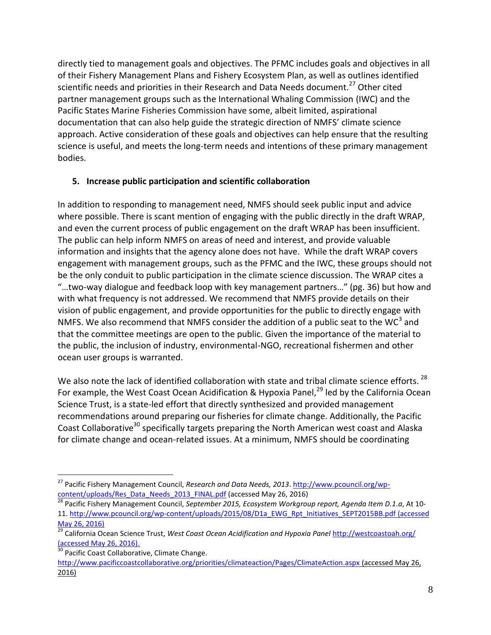directly tied to management goals and objectives. The PFMC includes goals and objectives in all of their Fishery Management Plans and Fishery Ecosystem Plan, as well as outlines identified scientific needs and priorities in their Research and Data Needs document.<sup>27</sup> Other cited partner management groups such as the International Whaling Commission (IWC) and the Pacific States Marine Fisheries Commission have some, albeit limited, aspirational documentation that can also help guide the strategic direction of NMFS' climate science approach. Active consideration of these goals and objectives can help ensure that the resulting science is useful, and meets the long-term needs and intentions of these primary management bodies.

### **5. Increase public participation and scientific collaboration**

In addition to responding to management need, NMFS should seek public input and advice where possible. There is scant mention of engaging with the public directly in the draft WRAP, and even the current process of public engagement on the draft WRAP has been insufficient. The public can help inform NMFS on areas of need and interest, and provide valuable information and insights that the agency alone does not have. While the draft WRAP covers engagement with management groups, such as the PFMC and the IWC, these groups should not be the only conduit to public participation in the climate science discussion. The WRAP cites a "…two-way dialogue and feedback loop with key management partners…" (pg. 36) but how and with what frequency is not addressed. We recommend that NMFS provide details on their vision of public engagement, and provide opportunities for the public to directly engage with NMFS. We also recommend that NMFS consider the addition of a public seat to the WC<sup>3</sup> and that the committee meetings are open to the public. Given the importance of the material to the public, the inclusion of industry, environmental-NGO, recreational fishermen and other ocean user groups is warranted.

We also note the lack of identified collaboration with state and tribal climate science efforts.<sup>28</sup> For example, the West Coast Ocean Acidification & Hypoxia Panel, $^{29}$  led by the California Ocean Science Trust, is a state-led effort that directly synthesized and provided management recommendations around preparing our fisheries for climate change. Additionally, the Pacific Coast Collaborative<sup>30</sup> specifically targets preparing the North American west coast and Alaska for climate change and ocean-related issues. At a minimum, NMFS should be coordinating

 $\overline{a}$ 

<sup>27</sup> Pacific Fishery Management Council, *Research and Data Needs, 2013*[. http://www.pcouncil.org/wp](http://www.pcouncil.org/wp-content/uploads/Res_Data_Needs_2013_FINAL.pdf)[content/uploads/Res\\_Data\\_Needs\\_2013\\_FINAL.pdf](http://www.pcouncil.org/wp-content/uploads/Res_Data_Needs_2013_FINAL.pdf) (accessed May 26, 2016)

<sup>28</sup> Pacific Fishery Management Council, *September 2015, Ecosystem Workgroup report, Agenda Item D.1.a*, At 10- 11. [http://www.pcouncil.org/wp-content/uploads/2015/08/D1a\\_EWG\\_Rpt\\_Initiatives\\_SEPT2015BB.pdf](http://www.pcouncil.org/wp-content/uploads/2015/08/D1a_EWG_Rpt_Initiatives_SEPT2015BB.pdf) (accessed May 26, 2016)

<sup>&</sup>lt;sup>29</sup> California Ocean Science Trust, *West Coast Ocean Acidification and Hypoxia Panel* <http://westcoastoah.org/> (accessed May 26, 2016).

<sup>&</sup>lt;sup>30</sup> Pacific Coast Collaborative, Climate Change.

<http://www.pacificcoastcollaborative.org/priorities/climateaction/Pages/ClimateAction.aspx> (accessed May 26, 2016)